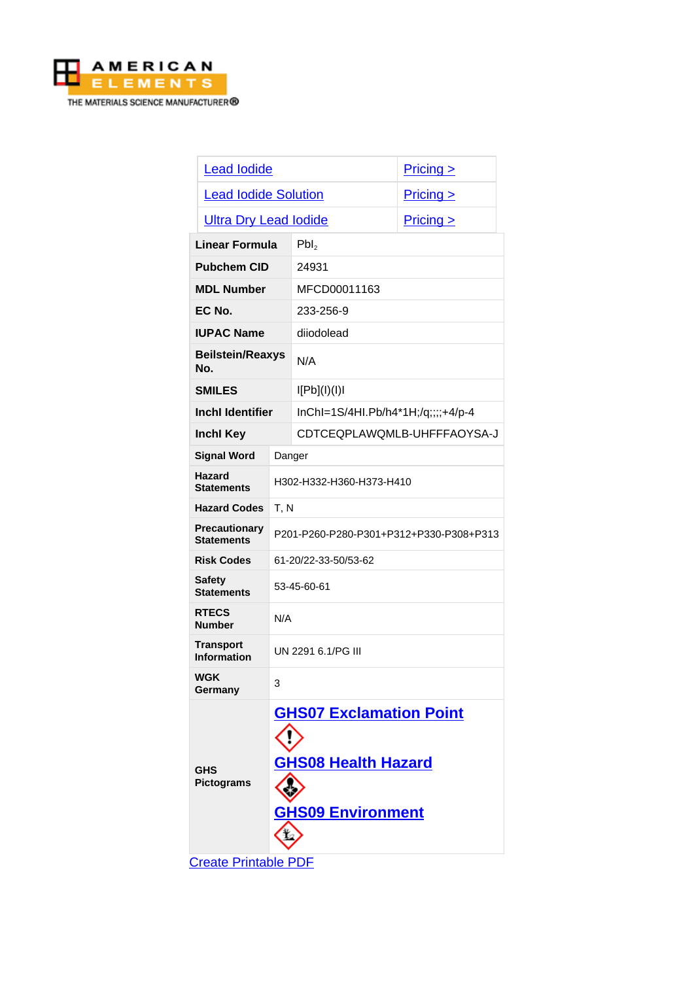

| <b>Lead lodide</b>                        |                                                                                          |                                    | Pricing > |
|-------------------------------------------|------------------------------------------------------------------------------------------|------------------------------------|-----------|
| <b>Lead lodide Solution</b>               |                                                                                          |                                    | Pricing   |
| <b>Ultra Dry Lead lodide</b>              |                                                                                          |                                    | Pricing > |
| <b>Linear Formula</b>                     |                                                                                          | Pbl <sub>2</sub>                   |           |
| <b>Pubchem CID</b>                        |                                                                                          | 24931                              |           |
| <b>MDL Number</b>                         |                                                                                          | MFCD00011163                       |           |
| EC No.                                    |                                                                                          | 233-256-9                          |           |
| <b>IUPAC Name</b>                         |                                                                                          | diiodolead                         |           |
| <b>Beilstein/Reaxys</b><br>No.            |                                                                                          | N/A                                |           |
| <b>SMILES</b>                             |                                                                                          | I[Pb](I)(I)I                       |           |
| <b>Inchl Identifier</b>                   |                                                                                          | InChI=1S/4HI.Pb/h4*1H;/q;;;;+4/p-4 |           |
| <b>Inchl Key</b>                          |                                                                                          | CDTCEQPLAWQMLB-UHFFFAOYSA-J        |           |
| <b>Signal Word</b>                        | Danger                                                                                   |                                    |           |
| Hazard<br><b>Statements</b>               | H302-H332-H360-H373-H410                                                                 |                                    |           |
| <b>Hazard Codes</b>                       | T, N                                                                                     |                                    |           |
| <b>Precautionary</b><br><b>Statements</b> | P201-P260-P280-P301+P312+P330-P308+P313                                                  |                                    |           |
| <b>Risk Codes</b>                         | 61-20/22-33-50/53-62                                                                     |                                    |           |
| <b>Safety</b><br><b>Statements</b>        | 53-45-60-61                                                                              |                                    |           |
| <b>RTECS</b><br><b>Number</b>             | N/A                                                                                      |                                    |           |
| <b>Transport</b><br><b>Information</b>    | UN 2291 6.1/PG III                                                                       |                                    |           |
| <b>WGK</b><br>Germany                     | 3                                                                                        |                                    |           |
| <b>GHS</b><br><b>Pictograms</b>           | <b>GHS07 Exclamation Point</b><br><b>GHS08 Health Hazard</b><br><b>GHS09 Environment</b> |                                    |           |

[Create Printable PDF](https://www.americanelements.com/printpdf/cas/10101-63-0/sds)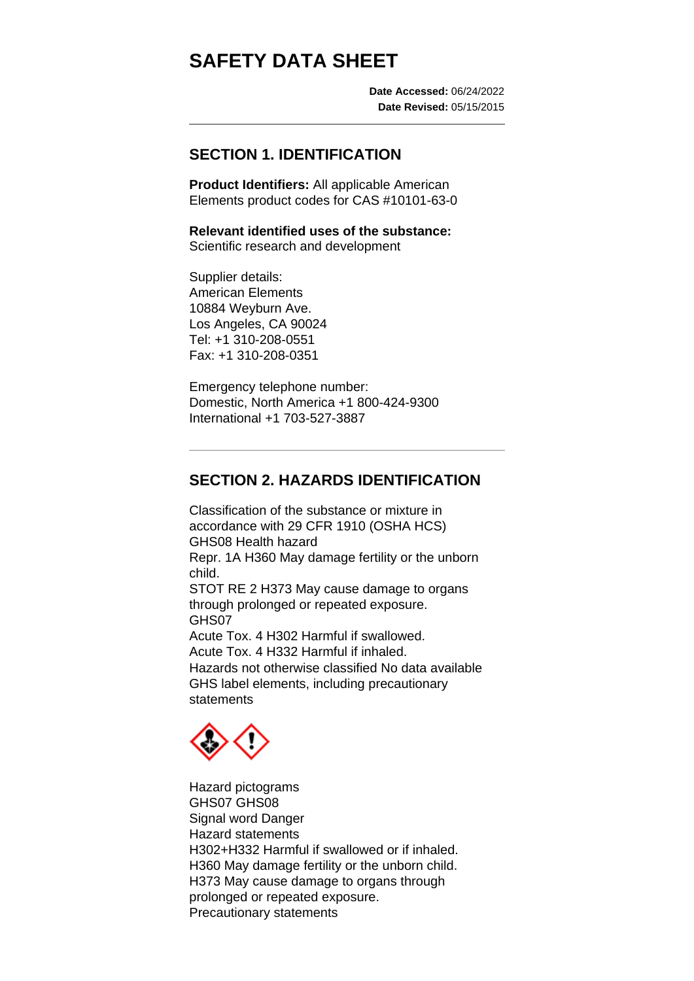# **SAFETY DATA SHEET**

**Date Accessed:** 06/24/2022 **Date Revised:** 05/15/2015

#### **SECTION 1. IDENTIFICATION**

**Product Identifiers:** All applicable American Elements product codes for CAS #10101-63-0

**Relevant identified uses of the substance:** Scientific research and development

Supplier details: American Elements 10884 Weyburn Ave. Los Angeles, CA 90024 Tel: +1 310-208-0551 Fax: +1 310-208-0351

Emergency telephone number: Domestic, North America +1 800-424-9300 International +1 703-527-3887

# **SECTION 2. HAZARDS IDENTIFICATION**

Classification of the substance or mixture in accordance with 29 CFR 1910 (OSHA HCS) GHS08 Health hazard Repr. 1A H360 May damage fertility or the unborn child. STOT RE 2 H373 May cause damage to organs through prolonged or repeated exposure. GHS07 Acute Tox. 4 H302 Harmful if swallowed. Acute Tox. 4 H332 Harmful if inhaled. Hazards not otherwise classified No data available GHS label elements, including precautionary statements



Hazard pictograms GHS07 GHS08 Signal word Danger Hazard statements H302+H332 Harmful if swallowed or if inhaled. H360 May damage fertility or the unborn child. H373 May cause damage to organs through prolonged or repeated exposure. Precautionary statements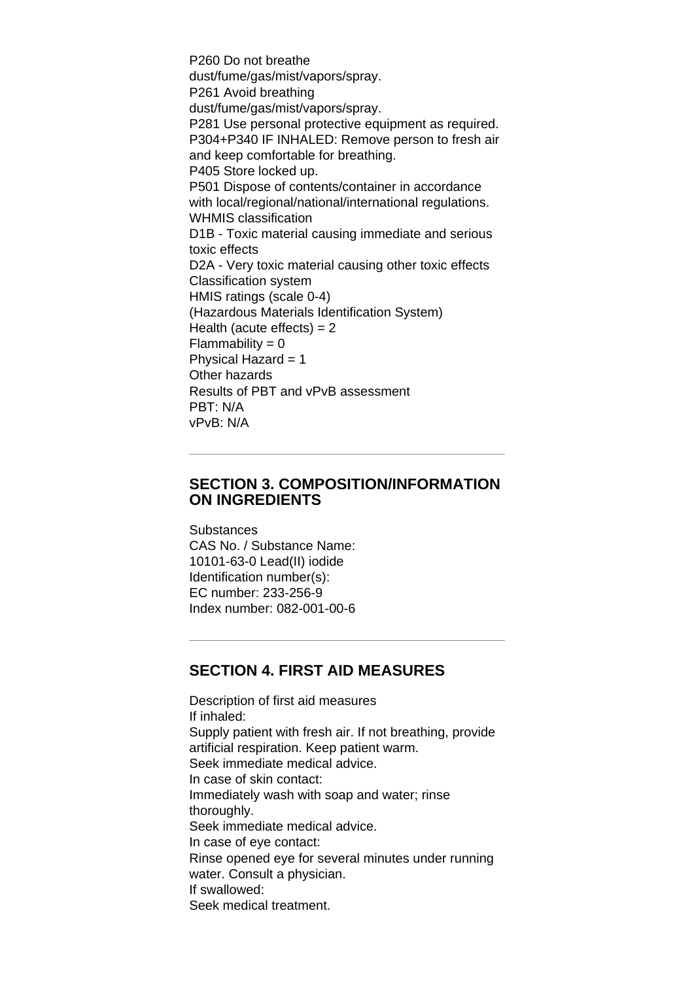P260 Do not breathe dust/fume/gas/mist/vapors/spray. P261 Avoid breathing dust/fume/gas/mist/vapors/spray. P281 Use personal protective equipment as required. P304+P340 IF INHALED: Remove person to fresh air and keep comfortable for breathing. P405 Store locked up. P501 Dispose of contents/container in accordance with local/regional/national/international regulations. WHMIS classification D1B - Toxic material causing immediate and serious toxic effects D2A - Very toxic material causing other toxic effects Classification system HMIS ratings (scale 0-4) (Hazardous Materials Identification System) Health (acute effects)  $= 2$  $Flammability = 0$ Physical Hazard  $= 1$ Other hazards Results of PBT and vPvB assessment PBT: N/A vPvB: N/A

#### **SECTION 3. COMPOSITION/INFORMATION ON INGREDIENTS**

**Substances** CAS No. / Substance Name: 10101-63-0 Lead(II) iodide Identification number(s): EC number: 233-256-9

Index number: 082-001-00-6

#### **SECTION 4. FIRST AID MEASURES**

Description of first aid measures If inhaled: Supply patient with fresh air. If not breathing, provide artificial respiration. Keep patient warm. Seek immediate medical advice. In case of skin contact: Immediately wash with soap and water; rinse thoroughly. Seek immediate medical advice. In case of eye contact: Rinse opened eye for several minutes under running water. Consult a physician. If swallowed: Seek medical treatment.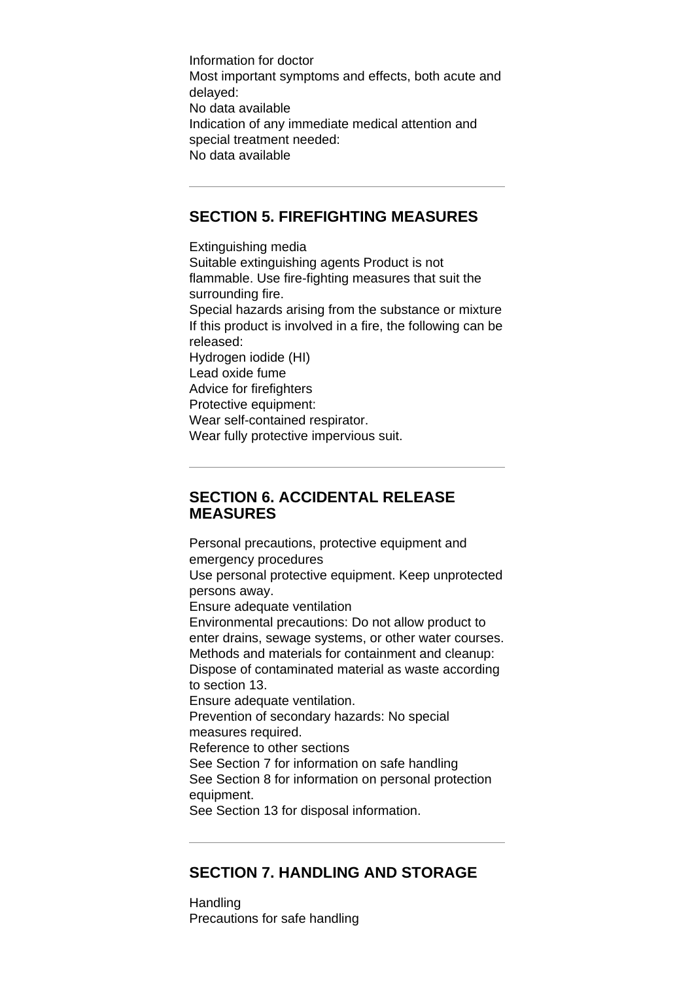Information for doctor Most important symptoms and effects, both acute and delayed: No data available Indication of any immediate medical attention and special treatment needed: No data available

# **SECTION 5. FIREFIGHTING MEASURES**

Extinguishing media Suitable extinguishing agents Product is not flammable. Use fire-fighting measures that suit the surrounding fire. Special hazards arising from the substance or mixture If this product is involved in a fire, the following can be released: Hydrogen iodide (HI) Lead oxide fume Advice for firefighters Protective equipment: Wear self-contained respirator. Wear fully protective impervious suit.

#### **SECTION 6. ACCIDENTAL RELEASE MEASURES**

Personal precautions, protective equipment and emergency procedures Use personal protective equipment. Keep unprotected persons away. Ensure adequate ventilation Environmental precautions: Do not allow product to enter drains, sewage systems, or other water courses. Methods and materials for containment and cleanup: Dispose of contaminated material as waste according to section 13. Ensure adequate ventilation. Prevention of secondary hazards: No special measures required. Reference to other sections See Section 7 for information on safe handling See Section 8 for information on personal protection equipment. See Section 13 for disposal information.

# **SECTION 7. HANDLING AND STORAGE**

Handling Precautions for safe handling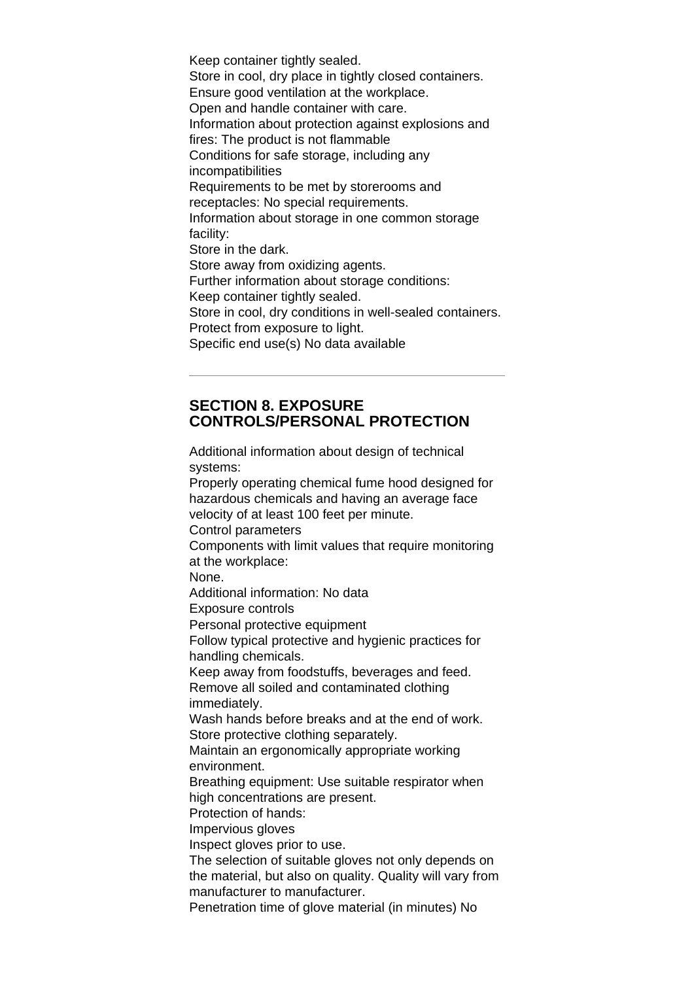Keep container tightly sealed. Store in cool, dry place in tightly closed containers. Ensure good ventilation at the workplace. Open and handle container with care. Information about protection against explosions and fires: The product is not flammable Conditions for safe storage, including any incompatibilities Requirements to be met by storerooms and receptacles: No special requirements. Information about storage in one common storage facility: Store in the dark. Store away from oxidizing agents. Further information about storage conditions: Keep container tightly sealed. Store in cool, dry conditions in well-sealed containers. Protect from exposure to light. Specific end use(s) No data available

# **SECTION 8. EXPOSURE CONTROLS/PERSONAL PROTECTION**

Additional information about design of technical systems: Properly operating chemical fume hood designed for hazardous chemicals and having an average face velocity of at least 100 feet per minute. Control parameters Components with limit values that require monitoring at the workplace: None. Additional information: No data Exposure controls Personal protective equipment Follow typical protective and hygienic practices for handling chemicals. Keep away from foodstuffs, beverages and feed. Remove all soiled and contaminated clothing immediately. Wash hands before breaks and at the end of work. Store protective clothing separately. Maintain an ergonomically appropriate working environment. Breathing equipment: Use suitable respirator when high concentrations are present. Protection of hands: Impervious gloves Inspect gloves prior to use. The selection of suitable gloves not only depends on the material, but also on quality. Quality will vary from manufacturer to manufacturer. Penetration time of glove material (in minutes) No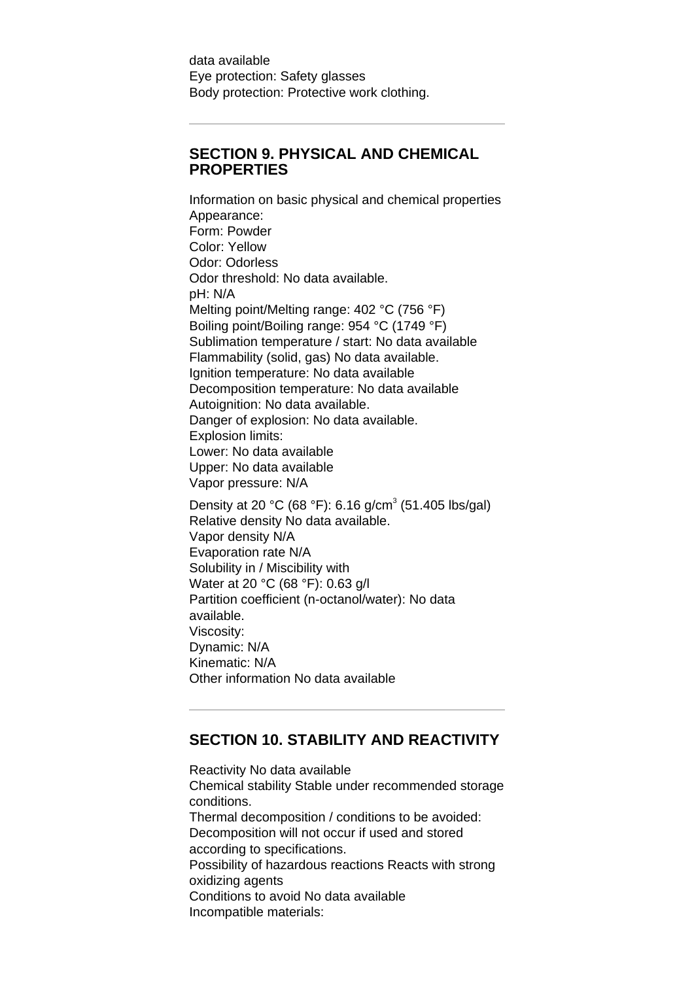data available Eye protection: Safety glasses Body protection: Protective work clothing.

# **SECTION 9. PHYSICAL AND CHEMICAL PROPERTIES**

Information on basic physical and chemical properties Appearance: Form: Powder Color: Yellow Odor: Odorless Odor threshold: No data available. pH: N/A Melting point/Melting range: 402 °C (756 °F) Boiling point/Boiling range: 954 °C (1749 °F) Sublimation temperature / start: No data available Flammability (solid, gas) No data available. Ignition temperature: No data available Decomposition temperature: No data available Autoignition: No data available. Danger of explosion: No data available. Explosion limits: Lower: No data available Upper: No data available Vapor pressure: N/A Density at 20 °C (68 °F): 6.16 g/cm<sup>3</sup> (51.405 lbs/gal) Relative density No data available. Vapor density N/A Evaporation rate N/A Solubility in / Miscibility with Water at 20 °C (68 °F): 0.63 g/l Partition coefficient (n-octanol/water): No data available. Viscosity:

Dynamic: N/A Kinematic: N/A Other information No data available

# **SECTION 10. STABILITY AND REACTIVITY**

Reactivity No data available Chemical stability Stable under recommended storage conditions. Thermal decomposition / conditions to be avoided: Decomposition will not occur if used and stored according to specifications. Possibility of hazardous reactions Reacts with strong oxidizing agents Conditions to avoid No data available Incompatible materials: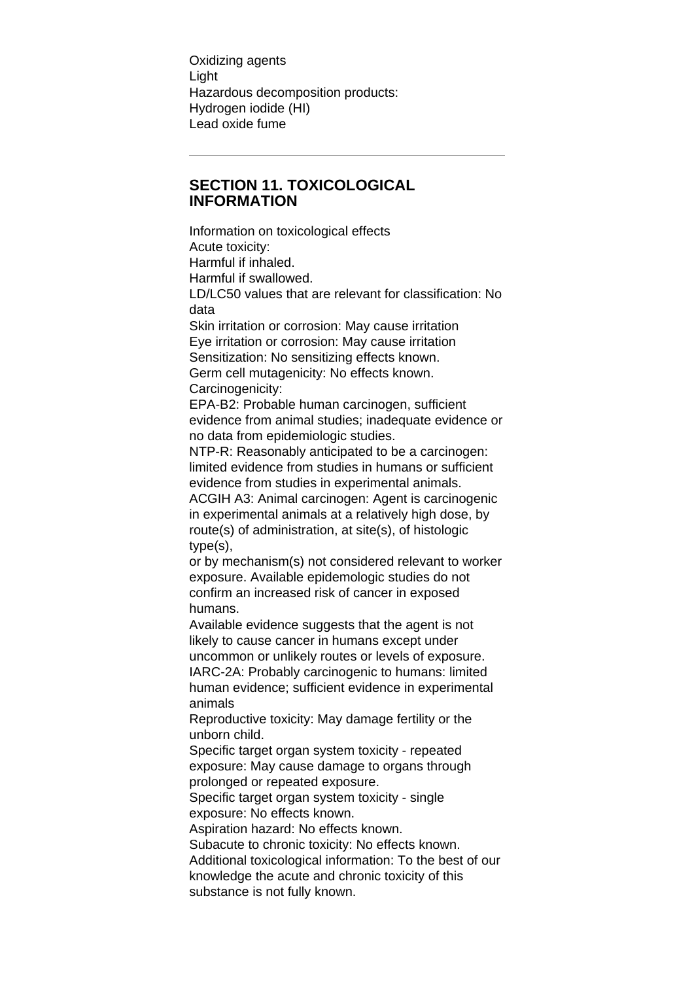Oxidizing agents Light Hazardous decomposition products: Hydrogen iodide (HI) Lead oxide fume

# **SECTION 11. TOXICOLOGICAL INFORMATION**

Information on toxicological effects Acute toxicity: Harmful if inhaled. Harmful if swallowed. LD/LC50 values that are relevant for classification: No data Skin irritation or corrosion: May cause irritation Eye irritation or corrosion: May cause irritation Sensitization: No sensitizing effects known. Germ cell mutagenicity: No effects known. Carcinogenicity: EPA-B2: Probable human carcinogen, sufficient evidence from animal studies; inadequate evidence or no data from epidemiologic studies. NTP-R: Reasonably anticipated to be a carcinogen: limited evidence from studies in humans or sufficient evidence from studies in experimental animals. ACGIH A3: Animal carcinogen: Agent is carcinogenic in experimental animals at a relatively high dose, by route(s) of administration, at site(s), of histologic type(s), or by mechanism(s) not considered relevant to worker exposure. Available epidemologic studies do not confirm an increased risk of cancer in exposed humans. Available evidence suggests that the agent is not likely to cause cancer in humans except under uncommon or unlikely routes or levels of exposure. IARC-2A: Probably carcinogenic to humans: limited human evidence; sufficient evidence in experimental animals Reproductive toxicity: May damage fertility or the unborn child. Specific target organ system toxicity - repeated exposure: May cause damage to organs through prolonged or repeated exposure. Specific target organ system toxicity - single exposure: No effects known. Aspiration hazard: No effects known. Subacute to chronic toxicity: No effects known. Additional toxicological information: To the best of our knowledge the acute and chronic toxicity of this substance is not fully known.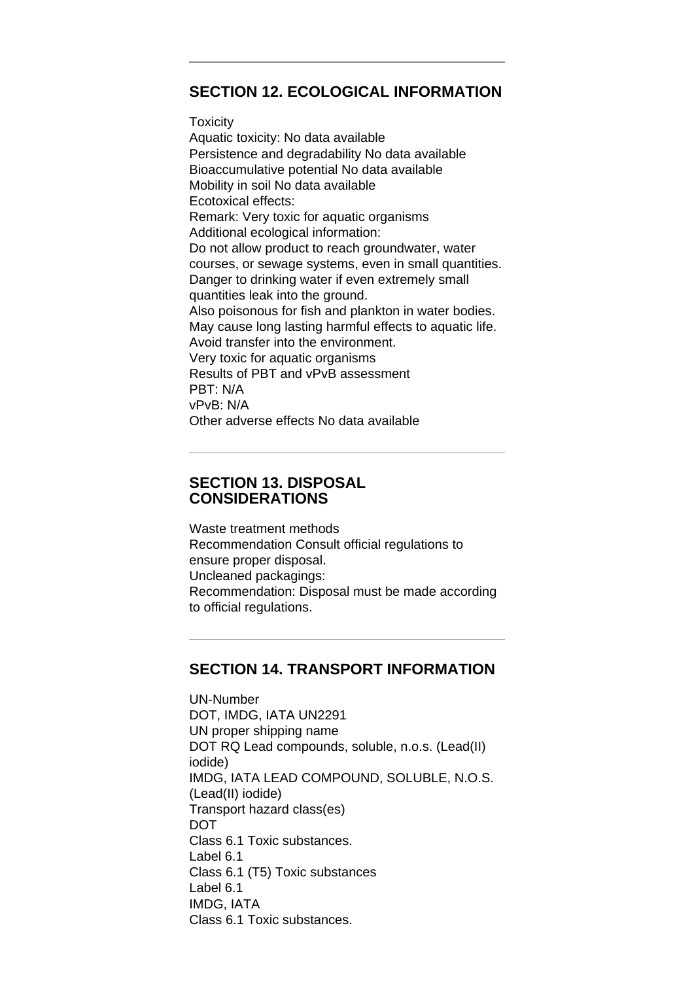# **SECTION 12. ECOLOGICAL INFORMATION**

#### **Toxicity**

Aquatic toxicity: No data available Persistence and degradability No data available Bioaccumulative potential No data available Mobility in soil No data available Ecotoxical effects: Remark: Very toxic for aquatic organisms Additional ecological information: Do not allow product to reach groundwater, water courses, or sewage systems, even in small quantities. Danger to drinking water if even extremely small quantities leak into the ground. Also poisonous for fish and plankton in water bodies. May cause long lasting harmful effects to aquatic life. Avoid transfer into the environment. Very toxic for aquatic organisms Results of PBT and vPvB assessment PBT: N/A vPvB: N/A Other adverse effects No data available

# **SECTION 13. DISPOSAL CONSIDERATIONS**

Waste treatment methods Recommendation Consult official regulations to ensure proper disposal. Uncleaned packagings: Recommendation: Disposal must be made according to official regulations.

# **SECTION 14. TRANSPORT INFORMATION**

UN-Number DOT, IMDG, IATA UN2291 UN proper shipping name DOT RQ Lead compounds, soluble, n.o.s. (Lead(II) iodide) IMDG, IATA LEAD COMPOUND, SOLUBLE, N.O.S. (Lead(II) iodide) Transport hazard class(es) **DOT** Class 6.1 Toxic substances. Label 6.1 Class 6.1 (T5) Toxic substances Label 6.1 IMDG, IATA Class 6.1 Toxic substances.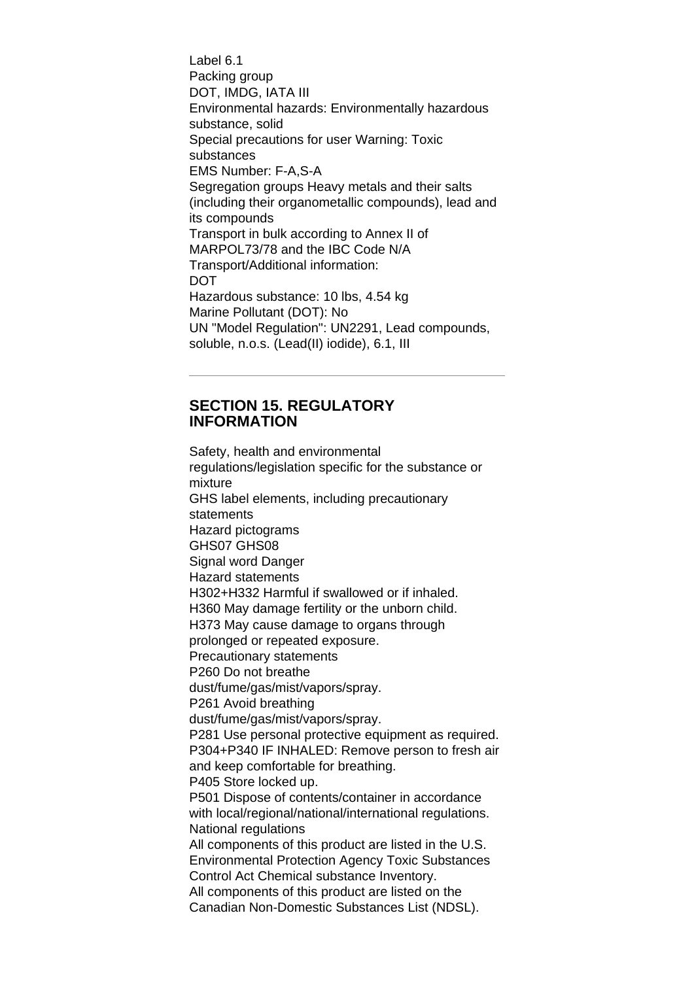Label 6.1 Packing group DOT, IMDG, IATA III Environmental hazards: Environmentally hazardous substance, solid Special precautions for user Warning: Toxic substances EMS Number: F-A,S-A Segregation groups Heavy metals and their salts (including their organometallic compounds), lead and its compounds Transport in bulk according to Annex II of MARPOL73/78 and the IBC Code N/A Transport/Additional information: **DOT** Hazardous substance: 10 lbs, 4.54 kg Marine Pollutant (DOT): No UN "Model Regulation": UN2291, Lead compounds, soluble, n.o.s. (Lead(II) iodide), 6.1, III

# **SECTION 15. REGULATORY INFORMATION**

Safety, health and environmental regulations/legislation specific for the substance or mixture GHS label elements, including precautionary statements Hazard pictograms GHS07 GHS08 Signal word Danger Hazard statements H302+H332 Harmful if swallowed or if inhaled. H360 May damage fertility or the unborn child. H373 May cause damage to organs through prolonged or repeated exposure. Precautionary statements P260 Do not breathe dust/fume/gas/mist/vapors/spray. P261 Avoid breathing dust/fume/gas/mist/vapors/spray. P281 Use personal protective equipment as required. P304+P340 IF INHALED: Remove person to fresh air and keep comfortable for breathing. P405 Store locked up. P501 Dispose of contents/container in accordance with local/regional/national/international regulations. National regulations All components of this product are listed in the U.S. Environmental Protection Agency Toxic Substances Control Act Chemical substance Inventory. All components of this product are listed on the Canadian Non-Domestic Substances List (NDSL).